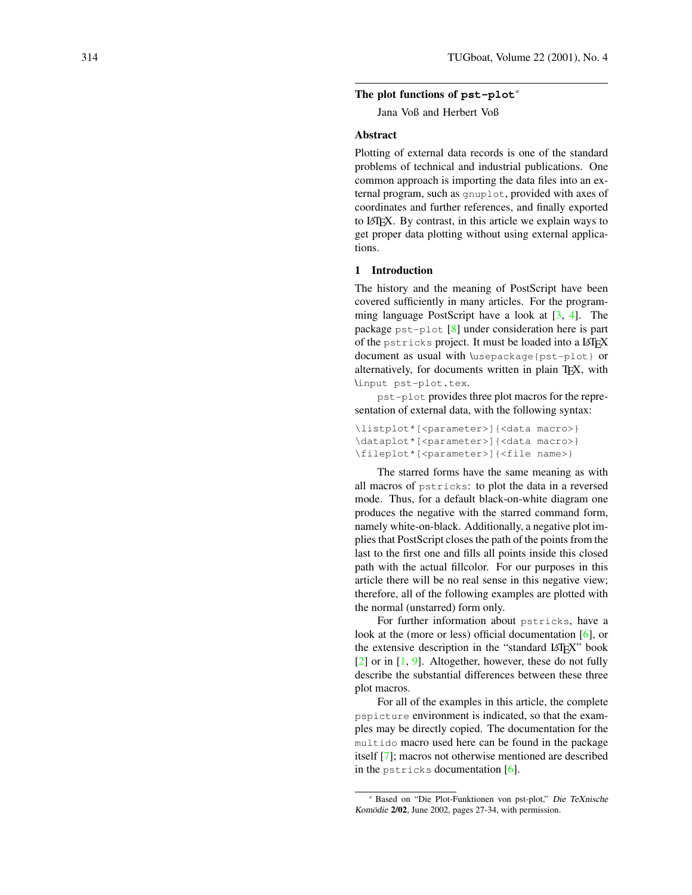# **The plot functions of pst-plot** ∗

Jana Voß and Herbert Voß

#### **Abstract**

Plotting of external data records is one of the standard problems of technical and industrial publications. One common approach is importing the data files into an external program, such as gnuplot, provided with axes of coordinates and further references, and finally exported to LATEX. By contrast, in this article we explain ways to get proper data plotting without using external applications.

### **1 Introduction**

The history and the meaning of PostScript have been covered sufficiently in many articles. For the programming language PostScript have a look at  $[3, 4]$  $[3, 4]$ . The package pst-plot [ [8\]](#page-5-0) under consideration here is part of the pstricks project. It must be loaded into a LATEX document as usual with \usepackage{pst-plot} or alternatively, for documents written in plain TEX, with \input pst-plot.tex.

pst-plot provides three plot macros for the representation of external data, with the following syntax:

```
\listplot*[<parameter>]{<data macro>}
\dataplot*[<parameter>]{<data macro>}
\fileplot*[<parameter>]{<file name>}
```
The starred forms have the same meaning as with all macros of pstricks: to plot the data in a reversed mode. Thus, for a default black-on-white diagram one produces the negative with the starred command form, namely white-on-black. Additionally, a negative plot implies that PostScript closes the path of the points from the last to the first one and fills all points inside this closed path with the actual fillcolor. For our purposes in this article there will be no real sense in this negative view; therefore, all of the following examples are plotted with the normal (unstarred) form only.

For further information about pstricks, have a look at the (more or less) official documentation [[6\]](#page-5-1), or the extensive description in the "standard LATEX" book  $[2]$  or in  $[1, 9]$  $[1, 9]$ . Altogether, however, these do not fully describe the substantial differences between these three plot macros.

For all of the examples in this article, the complete pspicture environment is indicated, so that the examples may be directly copied. The documentation for the multido macro used here can be found in the package itself [ [7\]](#page-5-3); macros not otherwise mentioned are described in the pstricks documentation [ [6\]](#page-5-1).

<sup>∗</sup> Based on "Die Plot-Funktionen von pst-plot," Die TeXnische Komödie **2/02**, June 2002, pages 27-34, with permission.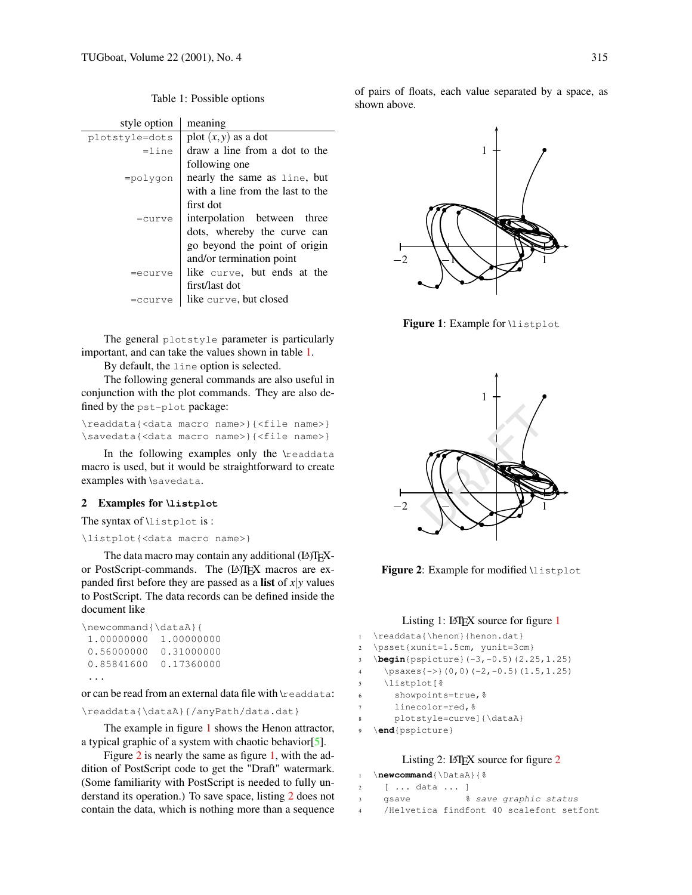<span id="page-1-0"></span>Table 1: Possible options

| style option   | meaning                          |
|----------------|----------------------------------|
| plotstyle=dots | plot $(x, y)$ as a dot           |
| $=1$ ine       | draw a line from a dot to the    |
|                | following one                    |
| $=$ polygon    | nearly the same as line, but     |
|                | with a line from the last to the |
|                | first dot                        |
| $=curve$       | interpolation between three      |
|                | dots, whereby the curve can      |
|                | go beyond the point of origin    |
|                | and/or termination point         |
| =ecurve        | like curve, but ends at the      |
|                | first/last dot                   |
| =ccurve        | like curve, but closed           |

The general plotstyle parameter is particularly important, and can take the values shown in table [1.](#page-1-0)

By default, the line option is selected.

The following general commands are also useful in conjunction with the plot commands. They are also defined by the pst-plot package:

\readdata{<data macro name>}{<file name>} \savedata{<data macro name>}{<file name>}

In the following examples only the \readdata macro is used, but it would be straightforward to create examples with \savedata.

## **2 Examples for \listplot**

The syntax of \listplot is :

### \listplot{<data macro name>}

The data macro may contain any additional (LA)TEXor PostScript-commands. The (LA)TEX macros are expanded first before they are passed as a **list** of  $x|y$  values to PostScript. The data records can be defined inside the document like

| \newcommand{\dataA}{ |            |
|----------------------|------------|
| 1,00000000           | 1,00000000 |
| 0.56000000           | 0.31000000 |
| 0.85841600           | 0.17360000 |
|                      |            |

or can be read from an external data file with \readdata:

```
\readdata{\dataA}{/anyPath/data.dat}
```
The example in figure [1](#page-1-1) shows the Henon attractor, a typical graphic of a system with chaotic behavior[\[5\]](#page-4-4).

Figure [2](#page-1-2) is nearly the same as figure [1,](#page-1-1) with the addition of PostScript code to get the "Draft" watermark. (Some familiarity with PostScript is needed to fully understand its operation.) To save space, listing [2](#page-1-3) does not contain the data, which is nothing more than a sequence of pairs of floats, each value separated by a space, as shown above.



<span id="page-1-1"></span>**Figure 1**: Example for \listplot



<span id="page-1-2"></span>Figure 2: Example for modified *\listplot* 

# Listing [1](#page-1-1): LATEX source for figure  $1$

| $\mathbf{1}$            | \readdata{\henon}{henon.dat}                                           |
|-------------------------|------------------------------------------------------------------------|
| 2                       | \psset{xunit=1.5cm, yunit=3cm}                                         |
| 3                       | $\begin{bmatrix} 5 \end{bmatrix}$ (pspicture $(-3, -0.5)$ (2.25, 1.25) |
| $\overline{\mathbf{4}}$ | $\text{psaxes}\{-\}$ (0,0) (-2,-0.5) (1.5,1.25)                        |
| 5                       | \listplot[%                                                            |
| 6                       | showpoints=true, %                                                     |
| 7                       | linecolor=red, %                                                       |
| 8                       | plotstyle=curvel{\dataA}                                               |
| 9                       | \end{pspicture}                                                        |

## Listing [2](#page-1-2): LATEX source for figure 2

<span id="page-1-3"></span>

|     | 2 [  data  ] |                                          |
|-----|--------------|------------------------------------------|
| 3   | gsave        | % save graphic status                    |
| 4 - |              | /Helvetica findfont 40 scalefont setfont |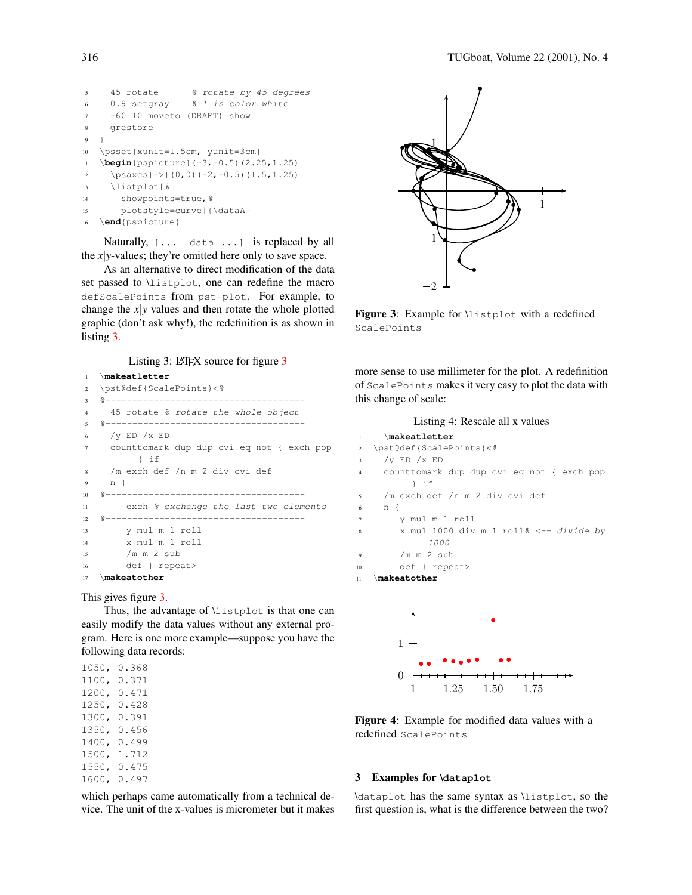```
5 45 rotate % rotate by 45 degrees
    0.9 setgray % 1 is color white
    -60 10 moveto (DRAFT) show
8 grestore
9 }
10 \psset{xunit=1.5cm, yunit=3cm}
11 \begin{pspicture}(-3,-0.5)(2.25,1.25)
12 \psaxes{->}(0,0)(-2,-0.5)(1.5,1.25)
13 \listplot[%
14 showpoints=true, %15 plotstyle=curve]{\dataA}
16 \end{pspicture}
```
Naturally, [... data ...] is replaced by all the *x*| $y$ -values; they're omitted here only to save space.

As an alternative to direct modification of the data set passed to \listplot, one can redefine the macro defScalePoints from pst-plot. For example, to change the  $x|y$  values and then rotate the whole plotted graphic (don't ask why!), the redefinition is as shown in listing [3.](#page-2-0)

Listing [3](#page-2-1): LATEX source for figure  $3$ 

```
1 \makeatletter
```

```
2 \pst@def{ScalePoints}<%
3 %-------------------------------------
4 45 rotate % rotate the whole object
5 %-------------------------------------
6 /y ED /x ED
7 counttomark dup dup cvi eq not { exch pop
         } if
8 /m exch def /n m 2 div cvi def
9 n {
10 %-------------------------------------
11 exch % exchange the last two elements
12 %-------------------------------------
13 y mul m 1 roll
14 x mul m 1 roll
15 /m m 2 sub
16 def } repeat>
17 \makeatother
```
This gives figure [3.](#page-2-1)

Thus, the advantage of \listplot is that one can easily modify the data values without any external program. Here is one more example—suppose you have the following data records:

1050, 0.368 1100, 0.371 1200, 0.471 1250, 0.428 1300, 0.391 1350, 0.456 1400, 0.499 1500, 1.712 1550, 0.475 1600, 0.497

which perhaps came automatically from a technical device. The unit of the x-values is micrometer but it makes



<span id="page-2-1"></span>Figure 3: Example for *\listplot* with a redefined ScalePoints

more sense to use millimeter for the plot. A redefinition of ScalePoints makes it very easy to plot the data with this change of scale:

| Listing 4: Rescale all x values           |  |  |
|-------------------------------------------|--|--|
| \makeatletter                             |  |  |
| \pst@def{ScalePoints}<%                   |  |  |
| / $V$ ED $/X$ ED                          |  |  |
| counttomark dup dup cvi eq not { exch pop |  |  |
| } if                                      |  |  |
| /m exch def /n m 2 div cvi def            |  |  |
| n {                                       |  |  |
| y mul m 1 roll                            |  |  |
| x mul 1000 div m 1 roll% <-- divide by    |  |  |
| <i>1000</i>                               |  |  |
| $/m$ m $2$ sub                            |  |  |
| def } repeat>                             |  |  |
| \makeatother                              |  |  |
|                                           |  |  |
|                                           |  |  |
|                                           |  |  |
|                                           |  |  |



**Figure 4**: Example for modified data values with a redefined ScalePoints

## **3 Examples for \dataplot**

\dataplot has the same syntax as \listplot, so the first question is, what is the difference between the two?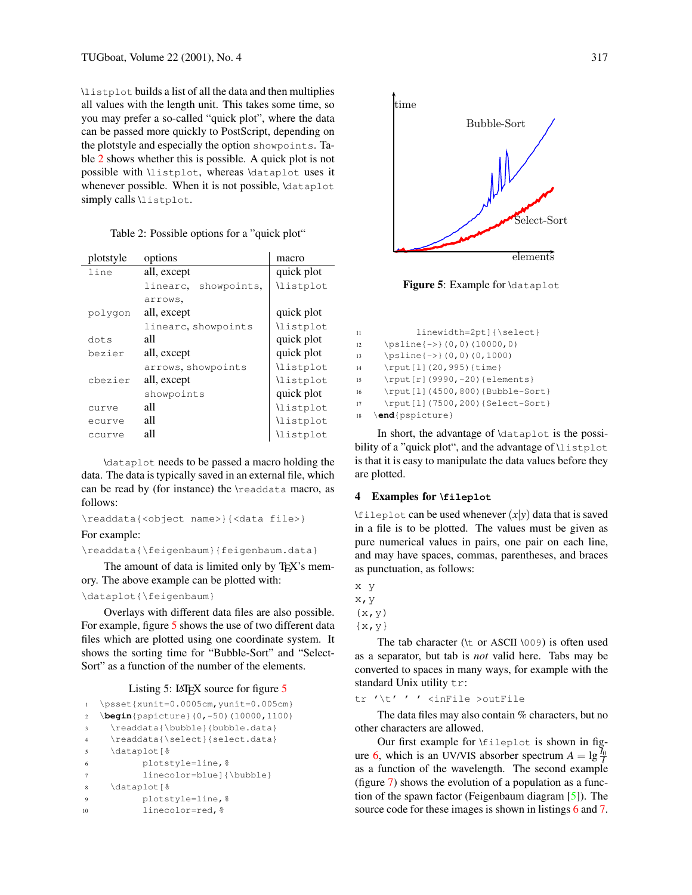\listplot builds a list of all the data and then multiplies all values with the length unit. This takes some time, so you may prefer a so-called "quick plot", where the data can be passed more quickly to PostScript, depending on the plotstyle and especially the option showpoints. Table [2](#page-3-0) shows whether this is possible. A quick plot is not possible with \listplot, whereas \dataplot uses it whenever possible. When it is not possible, \dataplot simply calls \listplot.

<span id="page-3-0"></span>

| plotstyle | options                 | macro           |
|-----------|-------------------------|-----------------|
| line      | all, except             | quick plot      |
|           | showpoints,<br>linearc. | <i>listplot</i> |
|           | arrows.                 |                 |
| polygon   | all, except             | quick plot      |
|           | linearc, showpoints     | <i>listplot</i> |
| dots      | all                     | quick plot      |
| bezier    | all, except             | quick plot      |
|           | arrows, showpoints      | <i>listplot</i> |
| chezier   | all, except             | <i>listplot</i> |
|           | showpoints              | quick plot      |
| curve     | all                     | <i>listplot</i> |
| ecurve    | all                     | <i>listplot</i> |
| ccurve    | all                     | <i>listplot</i> |

\dataplot needs to be passed a macro holding the data. The data is typically saved in an external file, which can be read by (for instance) the \readdata macro, as follows:

```
\readdata{<object name>}{<data file>}
```
#### For example:

\readdata{\feigenbaum}{feigenbaum.data}

The amount of data is limited only by TEX's memory. The above example can be plotted with:

## \dataplot{\feigenbaum}

Overlays with different data files are also possible. For example, figure [5](#page-3-1) shows the use of two different data files which are plotted using one coordinate system. It shows the sorting time for "Bubble-Sort" and "Select-Sort" as a function of the number of the elements.

## Listing [5](#page-3-1):  $\text{LATEX}$  source for figure 5

```
1 \psset{xunit=0.0005cm,yunit=0.005cm}
2 \begin{pspicture}(0,-50)(10000,1100)
3 \readdata{\bubble}{bubble.data}
4 \readdata{\select}{select.data}
5 \dataplot[%
6 plotstyle=line,%
7 linecolor=blue]{\bubble}
8 \dataplot[%
9 plotstyle=line,%
10 linecolor=red, %
```


<span id="page-3-1"></span>Figure 5: Example for **dataplot** 

| 11 | linewidth=2pt]{\select}         |
|----|---------------------------------|
| 12 | $\psi(0,0)$ (10000,0)           |
| 13 | $\psi(0,0)$ (0,1000)            |
| 14 | \rput[1](20,995){time}          |
| 15 | \rput[r](9990,-20){elements}    |
| 16 | \rput[1](4500,800){Bubble-Sort} |
| 17 | \rput[1](7500,200){Select-Sort} |
| 18 | \end{pspicture}                 |

In short, the advantage of \dataplot is the possibility of a "quick plot", and the advantage of \listplot is that it is easy to manipulate the data values before they are plotted.

### **4 Examples for \fileplot**

\fileplot can be used whenever  $(x|y)$  data that is saved in a file is to be plotted. The values must be given as pure numerical values in pairs, one pair on each line, and may have spaces, commas, parentheses, and braces as punctuation, as follows:

x y x,y  $(x, y)$ 

```
\{x, y\}
```
The tab character ( $\lt$  or ASCII  $\setminus$ 009) is often used as a separator, but tab is *not* valid here. Tabs may be converted to spaces in many ways, for example with the standard Unix utility tr:

tr '\t' ' ' <inFile >outFile

The data files may also contain % characters, but no other characters are allowed.

Our first example for \fileplot is shown in fig-ure [6,](#page-4-5) which is an UV/VIS absorber spectrum  $A = \lg \frac{\bar{I}_0}{I}$ as a function of the wavelength. The second example (figure [7\)](#page-4-6) shows the evolution of a population as a function of the spawn factor (Feigenbaum diagram [\[5\]](#page-4-4)). The source code for these images is shown in listings [6](#page-4-7) and [7.](#page-4-8)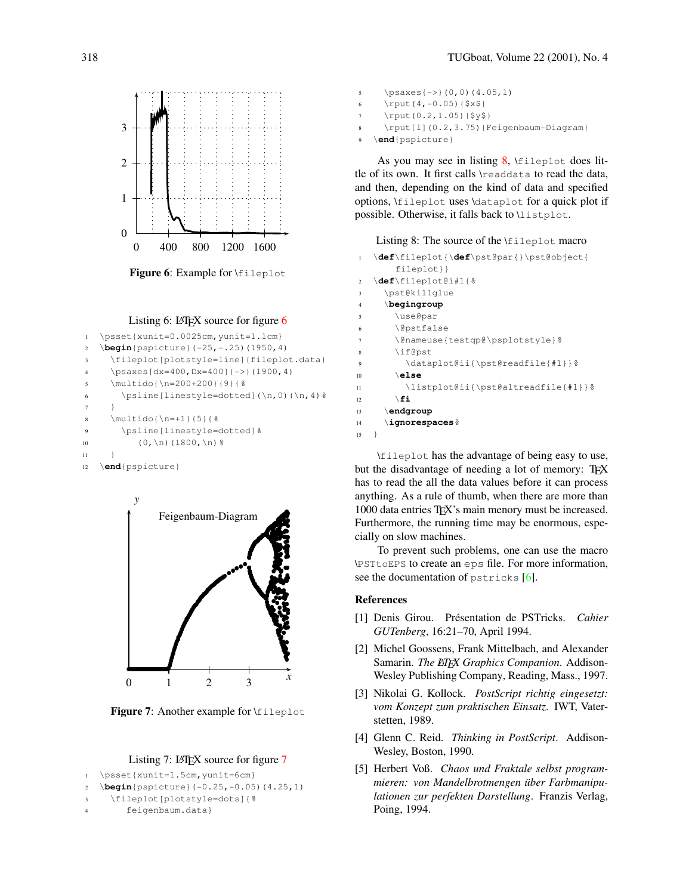

<span id="page-4-5"></span>Figure 6: Example for \fileplot



```
1 \psset{xunit=0.0025cm,yunit=1.1cm}
2 \begin{pspicture}(-25,-.25)(1950,4)
3 \fileplot[plotstyle=line]{fileplot.data}
4 \psaxes[dx=400,Dx=400]{->}(1900,4)
5 \multido{\n=200+200}{9}{%
      \psline[linestyle=dotted](\n,0)(\n,4)%
7 }
8 \multido{\n=+1}{5}{%
9 \psline[linestyle=dotted]%
```

```
10 (0, \n\ln(1800, \n\ln) %
```

```
11 }
```

```
12 \end{pspicture}
```


<span id="page-4-6"></span>**Figure 7:** Another example for \fileplot

### Listing [7](#page-4-6):  $LATFX$  source for figure 7

```
1 \psset{xunit=1.5cm,yunit=6cm}
2 \begin{pspicture}(-0.25,-0.05)(4.25,1)
3 \fileplot[plotstyle=dots]{%
```

```
4 feigenbaum.data}
```

```
\psaxes{->}(0,0)(4.05,1)
```

```
6 \rput(4,-0.05){$x$}
```

```
\rput(0.2,1.05){$y$}
```
\rput[l](0.2,3.75){Feigenbaum-Diagram}

```
\end{pspicture}
```
As you may see in listing  $8$ ,  $\text{fileplot}$  does little of its own. It first calls \readdata to read the data, and then, depending on the kind of data and specified options, \fileplot uses \dataplot for a quick plot if possible. Otherwise, it falls back to \listplot.

<span id="page-4-9"></span>Listing 8: The source of the \fileplot macro

```
\def\fileplot{\def\pst@par{}\pst@object{
       fileplot}}
2 \def\fileplot@i#1{%
3 \pst@killglue
4 \begingroup
       5 \use@par
       \@pstfalse
       7 \@nameuse{testqp@\psplotstyle}%
       \if@pst
9 \dataplot@ii{\pst@readfile{#1}}%
10 \else
11 \listplot@ii{\pst@altreadfile{#1}}%
12 \qquad \qquad \setminus \textbf{fi}13 \endgroup
14 \ignorespaces%
15 }
```
\fileplot has the advantage of being easy to use, but the disadvantage of needing a lot of memory: TEX has to read the all the data values before it can process anything. As a rule of thumb, when there are more than 1000 data entries T<sub>F</sub>X's main menory must be increased. Furthermore, the running time may be enormous, especially on slow machines.

To prevent such problems, one can use the macro \PSTtoEPS to create an eps file. For more information, see the documentation of  $pstricks [6]$  $pstricks [6]$ .

## **References**

- <span id="page-4-3"></span>[1] Denis Girou. Présentation de PSTricks. *Cahier GUTenberg*, 16:21–70, April 1994.
- <span id="page-4-2"></span>[2] Michel Goossens, Frank Mittelbach, and Alexander Samarin. *The LATEX Graphics Companion*. Addison-Wesley Publishing Company, Reading, Mass., 1997.
- <span id="page-4-0"></span>[3] Nikolai G. Kollock. *PostScript richtig eingesetzt: vom Konzept zum praktischen Einsatz*. IWT, Vaterstetten, 1989.
- <span id="page-4-1"></span>[4] Glenn C. Reid. *Thinking in PostScript*. Addison-Wesley, Boston, 1990.
- <span id="page-4-4"></span>[5] Herbert Voß. *Chaos und Fraktale selbst programmieren: von Mandelbrotmengen über Farbmanipulationen zur perfekten Darstellung*. Franzis Verlag, Poing, 1994.